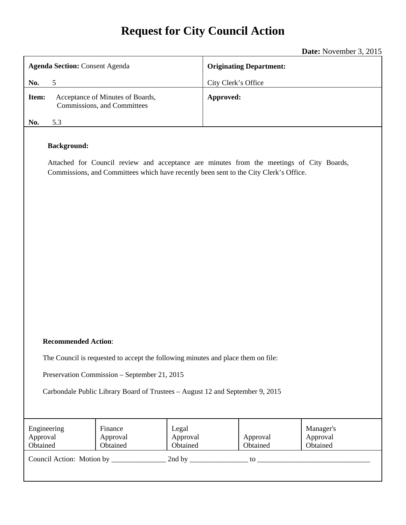# **Request for City Council Action**

**Date:** November 3, 2015

|                                                                                                                                                                                                         | <b>Date:</b> November $3$ , $2015$ |  |  |  |
|---------------------------------------------------------------------------------------------------------------------------------------------------------------------------------------------------------|------------------------------------|--|--|--|
| <b>Agenda Section: Consent Agenda</b>                                                                                                                                                                   | <b>Originating Department:</b>     |  |  |  |
| No.<br>5                                                                                                                                                                                                | City Clerk's Office                |  |  |  |
| Item:<br>Acceptance of Minutes of Boards,<br>Commissions, and Committees                                                                                                                                | Approved:                          |  |  |  |
| 5.3<br>No.                                                                                                                                                                                              |                                    |  |  |  |
| <b>Background:</b><br>Attached for Council review and acceptance are minutes from the meetings of City Boards,<br>Commissions, and Committees which have recently been sent to the City Clerk's Office. |                                    |  |  |  |
| <b>Recommended Action:</b>                                                                                                                                                                              |                                    |  |  |  |
| The Council is requested to accept the following minutes and place them on file:                                                                                                                        |                                    |  |  |  |
| Preservation Commission - September 21, 2015                                                                                                                                                            |                                    |  |  |  |
| Carbondale Public Library Board of Trustees - August 12 and September 9, 2015                                                                                                                           |                                    |  |  |  |
|                                                                                                                                                                                                         |                                    |  |  |  |

| Engineering<br>Approval<br>Obtained       | Finance<br>Approval<br>Obtained | Legal<br>Approval<br>Obtained | Approval<br>Obtained | Manager's<br>Approval<br>Obtained |
|-------------------------------------------|---------------------------------|-------------------------------|----------------------|-----------------------------------|
| Council Action: Motion by<br>2nd by<br>tο |                                 |                               |                      |                                   |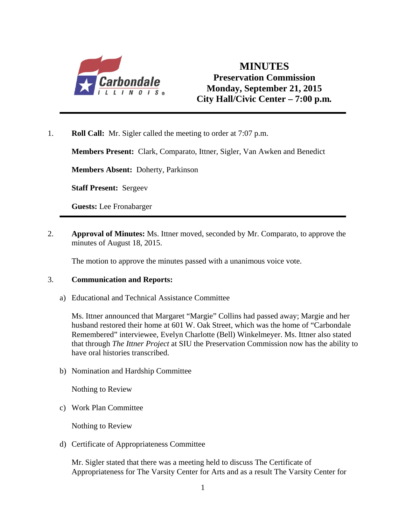

# **MINUTES Preservation Commission Monday, September 21, 2015 City Hall/Civic Center – 7:00 p.m***.*

1. **Roll Call:** Mr. Sigler called the meeting to order at 7:07 p.m.

**Members Present:** Clark, Comparato, Ittner, Sigler, Van Awken and Benedict

**Members Absent:** Doherty, Parkinson

**Staff Present:** Sergeev

**Guests:** Lee Fronabarger

2. **Approval of Minutes:** Ms. Ittner moved, seconded by Mr. Comparato, to approve the minutes of August 18, 2015.

The motion to approve the minutes passed with a unanimous voice vote.

#### 3. **Communication and Reports:**

a) Educational and Technical Assistance Committee

Ms. Ittner announced that Margaret "Margie" Collins had passed away; Margie and her husband restored their home at 601 W. Oak Street, which was the home of "Carbondale Remembered" interviewee, Evelyn Charlotte (Bell) Winkelmeyer. Ms. Ittner also stated that through *The Ittner Project* at SIU the Preservation Commission now has the ability to have oral histories transcribed.

b) Nomination and Hardship Committee

Nothing to Review

c) Work Plan Committee

Nothing to Review

d) Certificate of Appropriateness Committee

Mr. Sigler stated that there was a meeting held to discuss The Certificate of Appropriateness for The Varsity Center for Arts and as a result The Varsity Center for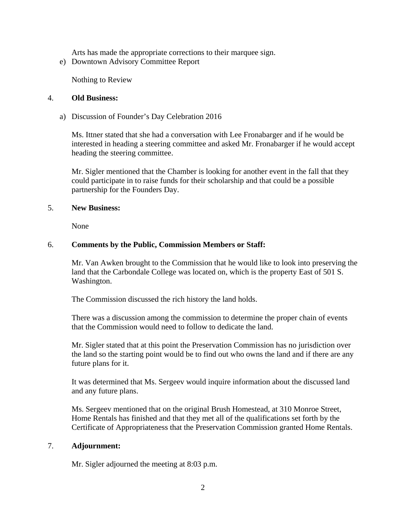Arts has made the appropriate corrections to their marquee sign.

e) Downtown Advisory Committee Report

Nothing to Review

#### 4. **Old Business:**

a) Discussion of Founder's Day Celebration 2016

Ms. Ittner stated that she had a conversation with Lee Fronabarger and if he would be interested in heading a steering committee and asked Mr. Fronabarger if he would accept heading the steering committee.

Mr. Sigler mentioned that the Chamber is looking for another event in the fall that they could participate in to raise funds for their scholarship and that could be a possible partnership for the Founders Day.

#### 5. **New Business:**

None

# 6. **Comments by the Public, Commission Members or Staff:**

Mr. Van Awken brought to the Commission that he would like to look into preserving the land that the Carbondale College was located on, which is the property East of 501 S. Washington.

The Commission discussed the rich history the land holds.

There was a discussion among the commission to determine the proper chain of events that the Commission would need to follow to dedicate the land.

Mr. Sigler stated that at this point the Preservation Commission has no jurisdiction over the land so the starting point would be to find out who owns the land and if there are any future plans for it.

It was determined that Ms. Sergeev would inquire information about the discussed land and any future plans.

Ms. Sergeev mentioned that on the original Brush Homestead, at 310 Monroe Street, Home Rentals has finished and that they met all of the qualifications set forth by the Certificate of Appropriateness that the Preservation Commission granted Home Rentals.

#### 7. **Adjournment:**

Mr. Sigler adjourned the meeting at 8:03 p.m.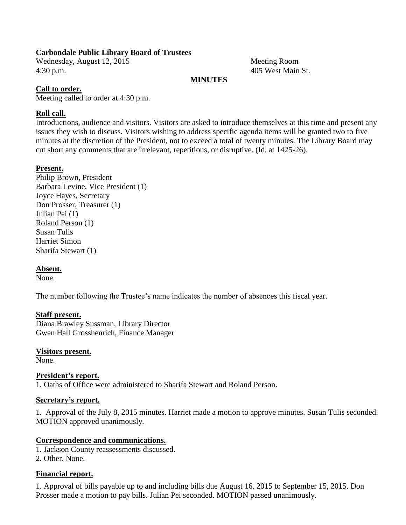# **Carbondale Public Library Board of Trustees**

Wednesday, August 12, 2015 Meeting Room 4:30 p.m. 405 West Main St.

#### **MINUTES**

# **Call to order.**

Meeting called to order at 4:30 p.m.

# **Roll call.**

Introductions, audience and visitors. Visitors are asked to introduce themselves at this time and present any issues they wish to discuss. Visitors wishing to address specific agenda items will be granted two to five minutes at the discretion of the President, not to exceed a total of twenty minutes. The Library Board may cut short any comments that are irrelevant, repetitious, or disruptive. (Id. at 1425-26).

#### **Present.**

Philip Brown, President Barbara Levine, Vice President (1) Joyce Hayes, Secretary Don Prosser, Treasurer (1) Julian Pei (1) Roland Person (1) Susan Tulis Harriet Simon Sharifa Stewart (1)

# **Absent.**

None.

The number following the Trustee's name indicates the number of absences this fiscal year.

#### **Staff present.**

Diana Brawley Sussman, Library Director Gwen Hall Grosshenrich, Finance Manager

#### **Visitors present.**

None.

# **President's report.**

1. Oaths of Office were administered to Sharifa Stewart and Roland Person.

#### **Secretary's report.**

1. Approval of the July 8, 2015 minutes. Harriet made a motion to approve minutes. Susan Tulis seconded. MOTION approved unanimously.

#### **Correspondence and communications.**

1. Jackson County reassessments discussed.

2. Other. None.

# **Financial report.**

1. Approval of bills payable up to and including bills due August 16, 2015 to September 15, 2015. Don Prosser made a motion to pay bills. Julian Pei seconded. MOTION passed unanimously.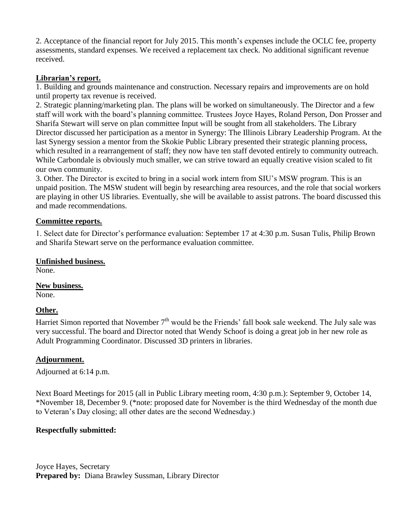2. Acceptance of the financial report for July 2015. This month's expenses include the OCLC fee, property assessments, standard expenses. We received a replacement tax check. No additional significant revenue received.

# **Librarian's report.**

1. Building and grounds maintenance and construction. Necessary repairs and improvements are on hold until property tax revenue is received.

2. Strategic planning/marketing plan. The plans will be worked on simultaneously. The Director and a few staff will work with the board's planning committee. Trustees Joyce Hayes, Roland Person, Don Prosser and Sharifa Stewart will serve on plan committee Input will be sought from all stakeholders. The Library Director discussed her participation as a mentor in Synergy: The Illinois Library Leadership Program. At the last Synergy session a mentor from the Skokie Public Library presented their strategic planning process, which resulted in a rearrangement of staff; they now have ten staff devoted entirely to community outreach. While Carbondale is obviously much smaller, we can strive toward an equally creative vision scaled to fit our own community.

3. Other. The Director is excited to bring in a social work intern from SIU's MSW program. This is an unpaid position. The MSW student will begin by researching area resources, and the role that social workers are playing in other US libraries. Eventually, she will be available to assist patrons. The board discussed this and made recommendations.

# **Committee reports.**

1. Select date for Director's performance evaluation: September 17 at 4:30 p.m. Susan Tulis, Philip Brown and Sharifa Stewart serve on the performance evaluation committee.

#### **Unfinished business.**

None.

#### **New business.**

None.

# **Other.**

Harriet Simon reported that November  $7<sup>th</sup>$  would be the Friends' fall book sale weekend. The July sale was very successful. The board and Director noted that Wendy Schoof is doing a great job in her new role as Adult Programming Coordinator. Discussed 3D printers in libraries.

#### **Adjournment.**

Adjourned at 6:14 p.m.

Next Board Meetings for 2015 (all in Public Library meeting room, 4:30 p.m.): September 9, October 14, \*November 18, December 9. (\*note: proposed date for November is the third Wednesday of the month due to Veteran's Day closing; all other dates are the second Wednesday.)

#### **Respectfully submitted:**

Joyce Hayes, Secretary **Prepared by:** Diana Brawley Sussman, Library Director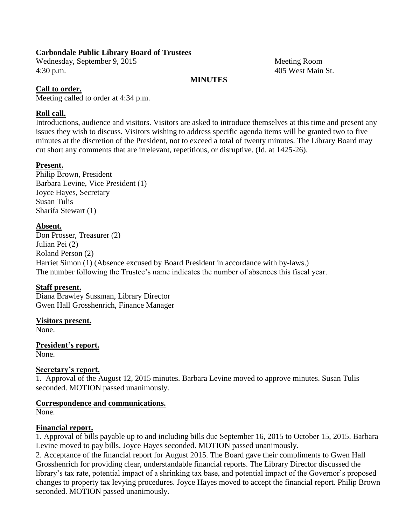# **Carbondale Public Library Board of Trustees**

Wednesday, September 9, 2015 Meeting Room 4:30 p.m. 405 West Main St.

#### **MINUTES**

# **Call to order.**

Meeting called to order at 4:34 p.m.

# **Roll call.**

Introductions, audience and visitors. Visitors are asked to introduce themselves at this time and present any issues they wish to discuss. Visitors wishing to address specific agenda items will be granted two to five minutes at the discretion of the President, not to exceed a total of twenty minutes. The Library Board may cut short any comments that are irrelevant, repetitious, or disruptive. (Id. at 1425-26).

#### **Present.**

Philip Brown, President Barbara Levine, Vice President (1) Joyce Hayes, Secretary Susan Tulis Sharifa Stewart (1)

#### **Absent.**

Don Prosser, Treasurer (2) Julian Pei (2) Roland Person (2) Harriet Simon (1) (Absence excused by Board President in accordance with by-laws.) The number following the Trustee's name indicates the number of absences this fiscal year.

# **Staff present.**

Diana Brawley Sussman, Library Director Gwen Hall Grosshenrich, Finance Manager

#### **Visitors present.**

None.

**President's report.** None.

#### **Secretary's report.**

1. Approval of the August 12, 2015 minutes. Barbara Levine moved to approve minutes. Susan Tulis seconded. MOTION passed unanimously.

#### **Correspondence and communications.**

None.

#### **Financial report.**

1. Approval of bills payable up to and including bills due September 16, 2015 to October 15, 2015. Barbara Levine moved to pay bills. Joyce Hayes seconded. MOTION passed unanimously.

2. Acceptance of the financial report for August 2015. The Board gave their compliments to Gwen Hall Grosshenrich for providing clear, understandable financial reports. The Library Director discussed the library's tax rate, potential impact of a shrinking tax base, and potential impact of the Governor's proposed changes to property tax levying procedures. Joyce Hayes moved to accept the financial report. Philip Brown seconded. MOTION passed unanimously.